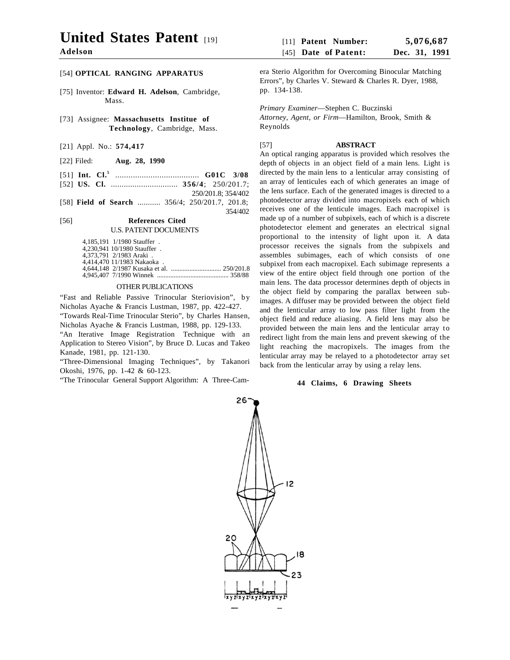# **United States Patent** [19]

**Adelson**

# [54] **OPTICAL RANGING APPARATUS**

- [75] Inventor: **Edward H. Adelson**, Cambridge, Mass.
- [73] Assignee: **Massachusetts Institue of Technology**, Cambridge, Mass.
- [21] Appl. No.: **574,417**
- [22] Filed: **Aug. 28, 1990**
- [51] **Int. Cl.5** ...................................... **G01C 3/08**
- [52] **US. Cl.** ............................... **356/4**; 250/201.7; 250/201.8; 354/402
- [58] **Field of Search** ........... 356/4; 250/201.7, 201.8; 354/402

#### [56] **References Cited** U.S. PATENT DOCUMENTS

4,185,191 1/1980 Stauffer . 4,230,941 10/1980 Stauffer . 4,373,791 2/1983 Araki . 4,414,470 11/1983 Nakaoka . 4,644,148 2/1987 Kusaka et al. .............................. 250/201.8 4,945,407 7/1990 Winnek ........................................... 358/88

### OTHER PUBLICATIONS

"Fast and Reliable Passive Trinocular Steriovision", by Nicholas Ayache & Francis Lustman, 1987, pp. 422-427.

"Towards Real-Time Trinocular Sterio", by Charles Hansen, Nicholas Ayache & Francis Lustman, 1988, pp. 129-133.

"An Iterative Image Registration Technique with an Application to Stereo Vision", by Bruce D. Lucas and Takeo Kanade, 1981, pp. 121-130.

"Three-Dimensional Imaging Techniques", by Takanori Okoshi, 1976, pp. 1-42 & 60-123.

"The Trinocular General Support Algorithm: A Three-Cam-

era Sterio Algorithm for Overcoming Binocular Matching Errors", by Charles V. Steward & Charles R. Dyer, 1988, pp. 134-138.

*Primary Examiner*—Stephen C. Buczinski *Attorney, Agent, or Firm*—Hamilton, Brook, Smith & Reynolds

# [57] **ABSTRACT**

An optical ranging apparatus is provided which resolves the depth of objects in an object field of a main lens. Light is directed by the main lens to a lenticular array consisting of an array of lenticules each of which generates an image of the lens surface. Each of the generated images is directed to a photodetector array divided into macropixels each of which receives one of the lenticule images. Each macropixel is made up of a number of subpixels, each of which is a discrete photodetector element and generates an electrical signal proportional to the intensity of light upon it. A data processor receives the signals from the subpixels and assembles subimages, each of which consists of one subpixel from each macropixel. Each subimage represents a view of the entire object field through one portion of the main lens. The data processor determines depth of objects in the object field by comparing the parallax between subimages. A diffuser may be provided between the object field and the lenticular array to low pass filter light from the object field and reduce aliasing. A field lens may also be provided between the main lens and the lenticular array to redirect light from the main lens and prevent skewing of the light reaching the macropixels. The images from the lenticular array may be relayed to a photodetector array set back from the lenticular array by using a relay lens.

# **44 Claims, 6 Drawing Sheets**

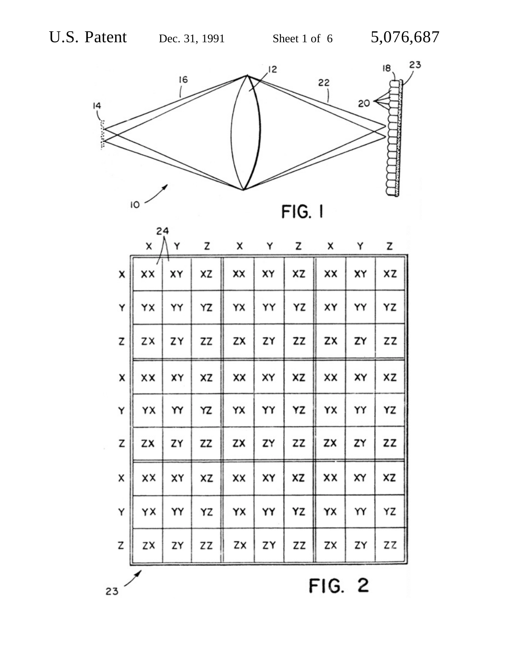

|                | X  | 24<br>Y | z  | x  | Y  | z  | x  | Y  | z  |
|----------------|----|---------|----|----|----|----|----|----|----|
| X              | XX | XY      | ΧZ | XX | XY | XZ | XX | X٢ | XZ |
| Y              | YX | YY      | ΥZ | YΧ | YY | ΥZ | XY | YY | ΥZ |
| Z              | ZX | ZY      | ZZ | ZX | ZY | ZZ | ZX | ZY | zz |
| X              | XX | XΥ      | ΧZ | XX | XY | XZ | XX | XY | XZ |
| Υ              | YΧ | YY      | ΥZ | YX | YY | YZ | YX | YY | ΥZ |
| z              | ZX | ZY      | ZZ | ZX | ZY | ZZ | ZX | ZY | ZZ |
| X              | xx | XY      | XZ | XX | XY | XZ | xx | XY | XZ |
| Υ              | ΥX | YY      | ΥZ | YX | YY | ΥZ | YΧ | YY | ΥZ |
| Z              | ΖX | ZY      | ΖZ | ZX | ZY | ΖZ | ZX | ZY | ΖZ |
| 2<br>FIG.<br>3 |    |         |    |    |    |    |    |    |    |

 $\lambda^{\prime}$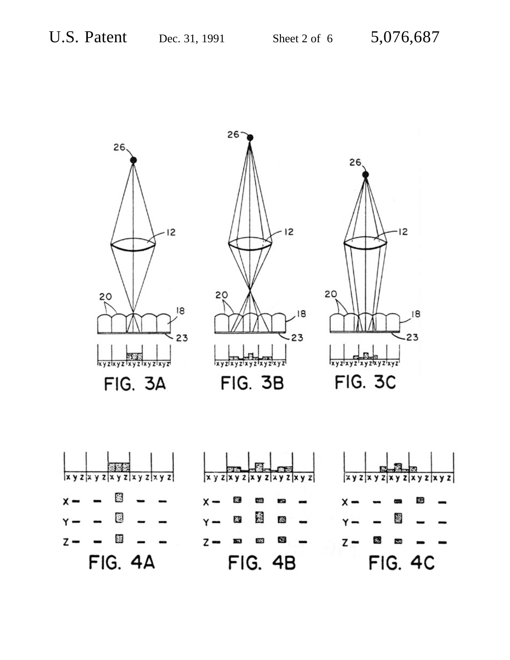

 $\overline{\mathbf{x} \mathbf{y}}$ lχy  $x y$ S. 煴 25  $\overline{\mathcal{C}}$ **IS** x  $\overline{\mathbf{g}}$ 葱 裔 爹 騾  $z -$ 色  $308$  $\mathsf{z}$  - $\overline{7}$  -**FIG. 4A FIG. 4C FIG. 4B**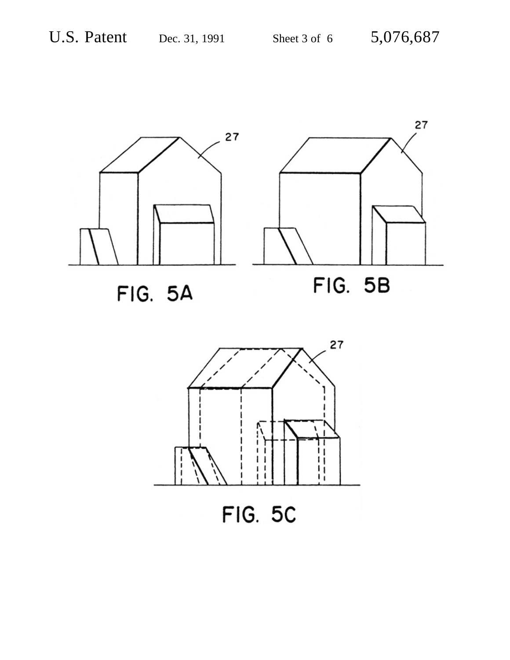

**FIG. 5A** 



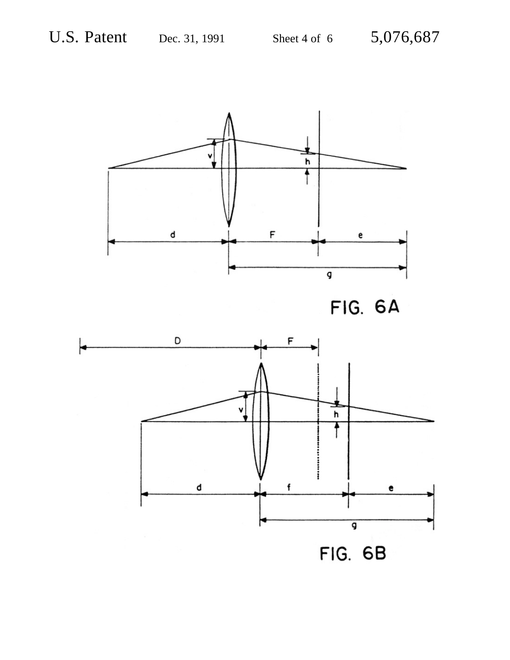



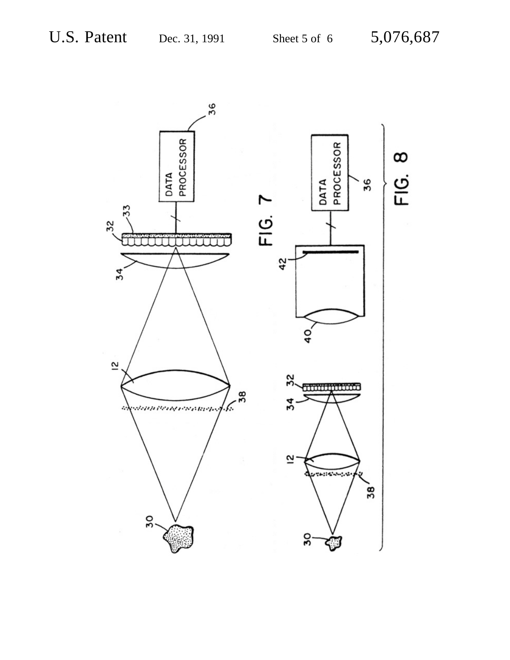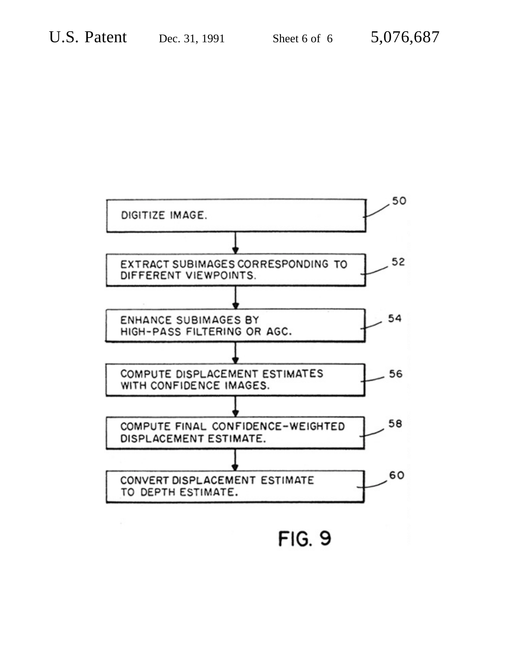

**FIG. 9**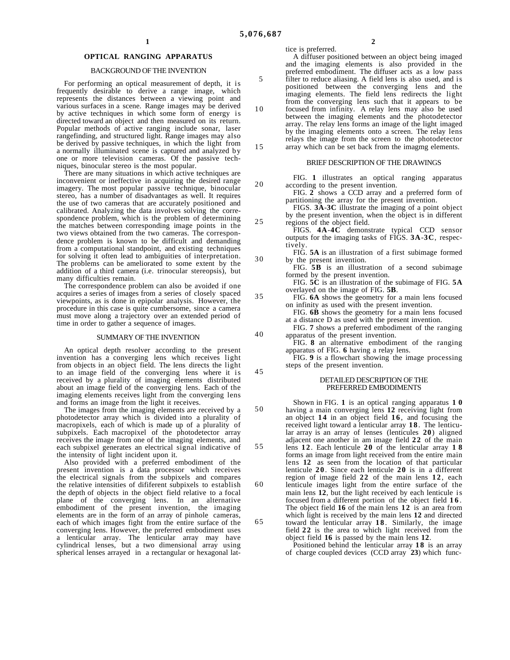#### **OPTICAL RANGING APPARATUS**

#### BACKGROUND OF THE INVENTION

For performing an optical measurement of depth, it is frequently desirable to derive a range image, which represents the distances between a viewing point and various surfaces in a scene. Range images may be derived by active techniques in which some form of energy is directed toward an object and then measured on its return. Popular methods of active ranging include sonar, laser rangefinding, and structured light. Range images may also be derived by passive techniques, in which the light from a normally illuminated scene is captured and analyzed by one or more television cameras. Of the passive techniques, binocular stereo is the most popular.

There are many situations in which active techniques are inconvenient or ineffective in acquiring the desired range imagery. The most popular passive technique, binocular stereo, has a number of disadvantages as well. It requires the use of two cameras that are accurately positioned and calibrated. Analyzing the data involves solving the correspondence problem, which is the problem of determining the matches between corresponding image points in the two views obtained from the two cameras. The correspondence problem is known to be difficult and demanding from a computational standpoint, and existing techniques for solving it often lead to ambiguities of interpretation. The problems can be ameliorated to some extent by the addition of a third camera (i.e. trinocular stereopsis), but many difficulties remain.

The correspondence problem can also be avoided if one acquires a series of images from a series of closely spaced viewpoints, as is done in epipolar analysis. However, the procedure in this case is quite cumbersome, since a camera must move along a trajectory over an extended period of time in order to gather a sequence of images.

#### SUMMARY OF THE INVENTION

An optical depth resolver according to the present invention has a converging lens which receives light from objects in an object field. The lens directs the light to an image field of the converging lens where it is received by a plurality of imaging elements distributed about an image field of the converging lens. Each of the imaging elements receives light from the converging lens and forms an image from the light it receives.

The images from the imaging elements are received by a photodetector array which is divided into a plurality of macropixels, each of which is made up of a plurality of subpixels. Each macropixel of the photodetector array receives the image from one of the imaging elements, and each subpixel generates an electrical signal indicative of the intensity of light incident upon it.

Also provided with a preferred embodiment of the present invention is a data processor which receives the electrical signals from the subpixels and compares the relative intensities of dififerent subpixels to establish the depth of objects in the object field relative to a focal plane of the converging lens. In an alternative embodiment of the present invention, the imaging elements are in the form of an array of pinhole cameras, each of which images fight from the entire surface of the converging lens. However, the preferred embodiment uses a lenticular array. The lenticular array may have cylindrical lenses, but a two dimensional array using spherical lenses arrayed in a rectangular or hexagonal lattice is preferred. A diffuser positioned between an object being imaged and the imaging elements is also provided in the preferred embodiment. The diffuser acts as a low pass filter to reduce aliasing. A field lens is also used, and is positioned between the converging lens and the imaging elements. The field lens redirects the light from the converging lens such that it appears to be focused from infinity. A relay lens may also be used between the imaging elements and the photodetector array. The relay lens forms an image of the light imaged by the imaging elements onto a screen. The relay lens relays the image from the screen to the photodetector

array which can be set back from the imagmg elements.

#### BRIEF DESCRIPTION OF THE DRAWINGS

FIG. **1** illustrates an optical ranging apparatus according to the present invention.

FIG. **2** shows a CCD array and a preferred form of partitioning the array for the present invention.

FIGS. **3A**-**3C** illustrate the imaging of a point object by the present invention, when the object is in different regions of the object field.

FIGS. **4A**-**4C** demonstrate typical CCD sensor outputs for the imaging tasks of FIGS. **3A**-**3C**, respectively.

FIG. **5A** is an illustration of a first subimage formed by the present invention.

FIG. **5B** is an illustration of a second subimage formed by the present invention.

FIG. **5C** is an illustration of the subimage of FIG. **5A** overlayed on the image of FIG. **5B**.

- FIG. **6A** shows the geometry for a main lens focused on infinity as used with the present invention.
- FIG. **6B** shows the geometry for a main lens focused at a distance D as used with the present invention.
- FIG. **7** shows a preferred embodiment of the ranging apparatus of the present invention.
- FIG. **8** an alternative embodiment of the ranging apparatus of FIG. **6** having a relay lens.
- FIG. **9** is a flowchart showing the image processing steps of the present invention.

#### DETAILED DESCRIPTION OF THE PREFERRED EMBODIMENTS

50 55 60 65 Shown in FIG. **1** is an optical ranging apparatus **1 0** having a main converging lens **12** receiving light from an object **14** in an object field **1 6** , and focusing the received light toward a lenticular array **1 8** . The lenticular array is an array of lenses (lenticules **20**) aligned adjacent one another in am image field **22** of the main lens **1 2** . Each lenticule **20** of the lenticular array **1 8** forms an image from light received from the entire main lens **12** as seen from the location of that particular lenticule **2 0** . Since each lenticule **20** is in a different region of image field 22 of the main lens 12, each lenticule images light from the entire surface of the main lens **12**, but the light received by each lenticule is focused from a different portion of the object field **1 6** . The object field **16** of the main lens **12** is an area from which light is received by the main lens **12** and directed toward the lenticular array **1 8** . Similarly, the image field **22** is the area to which light received from the object field **16** is passed by the main lens **12**.

Positioned behind the lenticular array **18** is an array of charge coupled devices (CCD array **23**) which func-

5

10

15

20

25

30

35

40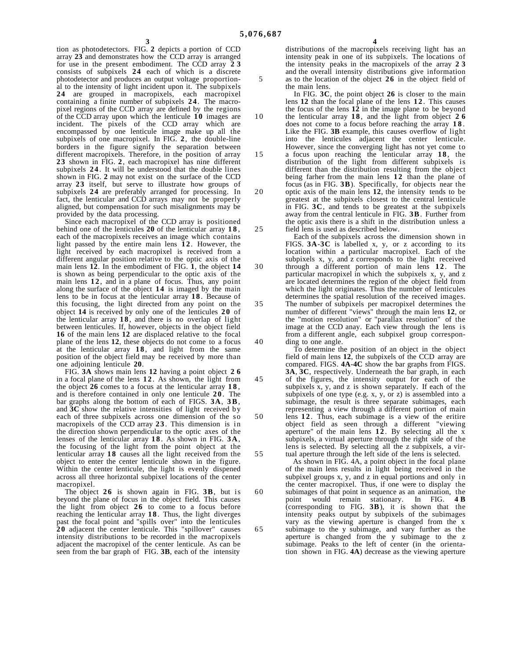10

15

30

35

40

45

50

55

60

65

tion as photodetectors. FIG. **2** depicts a portion of CCD array **23** and demonstrates how the CCD array is arranged for use in the present embodiment. The CCD array **2 3** consists of subpixels **24** each of which is a discrete photodetector and produces an output voltage proportional to the intensity of light incident upon it. The subpixels **24** are grouped in macropixels, each macropixel containing a finite number of subpixels **2 4** . The macropixel regions of the CCD array are defined by the regions of the CCD array upon which the lenticule **10** images are incident. The pixels of the CCD array which are encompassed by one lenticule image make up all the subpixels of one macropixel. In FIG. **2**, the double-line borders in the figure signify the separation between different macropixels. Therefore, in the position of array **23** shown in FIG. **2**, each macropixel has nine different subpixels **2 4** . It will be understood that the double lines shown in FIG. **2** may not exist on the surface of the CCD array **23** itself, but serve to illustrate how groups of subpixels **24** are preferably arranged for processing. In fact, the lenticular and CCD arrays may not be properly aligned, but compensation for such misalignments may be provided by the data processing.

Since each macropixel of the CCD array is positioned behind one of the lenticules **20** of the lenticular array **1 8** , each of the macropixels receives an image which contains light passed by the entire main lens 12. However, the light received by each macropixel is received from a different angular position relative to the optic axis of the main lens **12**. In the embodiment of FIG. **1**, the object **14** is shown as being perpendicular to the optic axis of the main lens **1 2** , and in a plane of focus. Thus, any point along the surface of the object **14** is imaged by the main lens to be in focus at the lenticular array **1 8** . Because of this focusing, the light directed from any point on the object **14** is received by only one of the lenticules **20** of the lenticular array **1 8** , and there is no overlap of light between lenticules. If, however, objects in the object field **16** of the main lens **12** are displaced relative to the focal plane of the lens **12**, these objects do not come to a focus at the lenticular array **1 8** , and light from the same position of the object field may be received by more than one adjoining lenticule **20**.

FIG. **3A** shows main lens **12** having a point object **2 6** in a focal plane of the lens **1 2** . As shown, the light from the object **26** comes to a focus at the lenticular array **1 8** , and is therefore contained in only one lenticule **2 0** . The bar graphs along the bottom of each of FIGS. **3A**, **3 B**, and **3C** show the relative intensities of light received by each of three subpixels across one dimension of the so macropixels of the CCD array **2 3** . This dimension is in the direction shown perpendicular to the optic axes of the lenses of the lenticular array **1 8** . As shown in FIG. **3 A**, the focusing of the light from the point object at the lenticular array **18** causes all the light received from the object to enter the center lenticule shown in the figure. Within the center lenticule, the light is evenly dispened across all three horizontal subpixel locations of the center macropixel.

The object **26** is shown again in FIG. **3B**, but is beyond the plane of focus in the object field. This causes the light from object **26** to come to a focus before reaching the lenticular array **1 8** . Thus, the light diverges past the focal point and "spills over" into the lenticules **20** adjacent the center lenticule. This "spillover" causes intensity distributions to be recorded in the macropixels adjacent the macropixel of the center lenticule. As can be seen from the bar graph of FIG. **3B**, each of the intensity

distributions of the macropixels receiving light has an intensity peak in one of its subpixels. The locations of

the intensity peaks in the macropixels of the array **2 3** and the overall intensity distributions give information as to the location of the object **26** in the object field of the main lens.

In FIG. **3C**, the point object **26** is closer to the main lens **12** than the focal plane of the lens **12**. This causes the focus of the lens **12** in the image plane to be beyond

- the lenticular array **1 8** , and the light from object **2 6** does not come to a focus before reaching the array **1 8** . Like the FIG. **3B** example, this causes overflow of light into the lenticules adjacent the center lenticule. However, since the converging light has not yet come to a focus upon reaching the lenticular array **1 8** , the distribution of the light from different subpixels is different than the distribution resulting from the object being farher from the main lens **12** than the plane of focus (as in FIG. **3B**). Specifically, for objects near the
- 20 25 optic axis of the main lens **12**, the intensity tends to be greatest at the subpixels closest to the central lenticule in FIG. **3C**, and tends to be greatest at the subpixels away from the central lenticule in FIG. **3B**. Further from the optic axis there is a shift in the distribution unless a field lens is used as described below.

Each of the subpixels across the dimension shown in FIGS. **3A**-**3C** is labelled x, y, or z according to its location within a particular macropixel. Each of the subpixels x, y, and z corresponds to the light received through a different portion of main lens **1 2** . The particular macropixel in which the subpixels x, y, and z are located determines the region of the object field from which the light originates. Thus the number of lenticules determines the spatial resolution of the received images. The number of subpixels per macropixel determines the number of different "views" through the main lens **12**, or the "motion resolution" or "parallax resolution" of the image at the CCD anay. Each view through the lens is from a different angle, each subpixel group corresponding to one angle.

To determine the position of an object in the object field of main lens **12**, the subpixels of the CCD array are compared. FIGS. **4A**-**4C** show the bar graphs from FIGS. **3A**, **3C**, respectively. Underneath the bar graph, in each of the figures, the intensity output for each of the subpixels x, y, and z is shown separately. If each of the subpixels of one type (e.g. x, y, or z) is assembled into a subimage, the result is three separate subimages, each representing a view through a different portion of main lens **1 2** . Thus, each subimage is a view of the eritire object field as seen through a different "viewing aperture" of the main lens  $12$ . By selecting all the x subpixels, a virtual aperture through the right side of the lens is selected. By selecting all the z subpixels, a vir-

tual aperture through the left side of the lens is selected. As shown in FIG. 4A, a point object in the focal plane of the main lens results in light being received in the subpixel groups x, y, and z in equal portions and only in the center macropixel. Thus, if one were to display the subimages of that point in sequence as an animation, the point would remain stationary. In FIG.  $4B$ point would remain stationary. (corresponding to FIG. **3B**), it is shown that the intensity peaks output by subpixels of the subimages vary as the viewing aperture is changed from the x subimage to the y subimage, and vary further as the aperture is changed from the y subimage to the z subimage. Peaks to the left of center (in the orientation shown in FIG. **4A**) decrease as the viewing aperture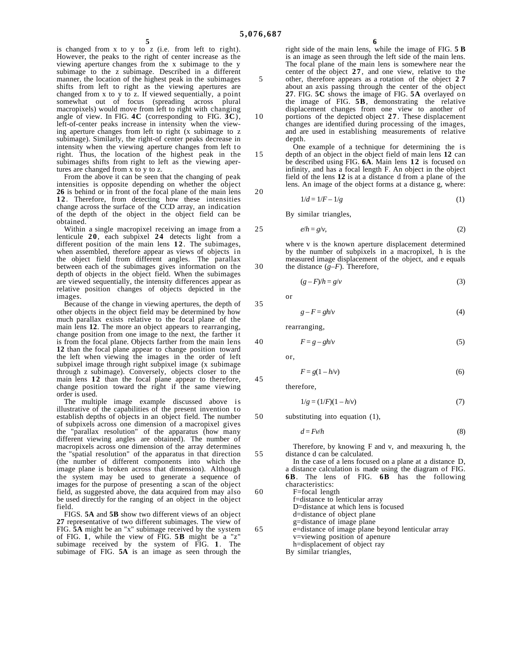15

20

25

30

35

40

45

55

is changed from x to y to z (i.e. from left to right). However, the peaks to the right of center increase as the viewing aperture changes from the x subimage to the y subimage to the z subimage. Described in a different manner, the location of the highest peak in the subimages shifts from left to right as the viewing apertures are changed from x to y to z. If viewed sequentially, a point somewhat out of focus (spreading across plural macropixels) would move from left to right with changing angle of view. In FIG. **4C** (corresponding to FIG. **3C**), left-of-center peaks increase in intensity when the viewing aperture changes from left to right (x subimage to z subimage). Similarly, the right-of center peaks decrease in intensity when the viewing aperture changes from left to right. Thus, the location of the highest peak in the subimages shifts from right to left as the viewing apertures are changed from x to y to z.

From the above it can be seen that the changing of peak intensities is opposite depending on whether the object **26** is behind or in front of the focal plane of the main lens **1 2** . Therefore, from detecting how these intensities change across the surface of the CCD array, an indication of the depth of the object in the object field can be obtained.

Within a single macropixel receiving an image from a lenticule **2 0** , each subpixel **24** detects light from a different position of the main lens 12. The subimages, when assembled, therefore appear as views of objects in the object field from different angles. The parallax between each of the subimages gives information on the depth of objects in the object field. When the subimages are viewed sequentially, the intensity differences appear as relative position changes of objects depicted in the images.

Because of the change in viewing apertures, the depth of other objects in the object field may be determined by how much parallax exists relative to the focal plane of the main lens **12**. The more an object appears to rearranging, change position from one image to the next, the farther it is from the focal plane. Objects farther from the main lens **12** than the focal plane appear to change position toward the left when viewing the images in the order of left subpixel image through right subpixel image (x subimage through z subimage). Conversely, objects closer to the main lens **12** than the focal plane appear to therefore, change position toward the right if the same viewing order is used.

The multiple image example discussed above is illustrative of the capabilities of the present invention to establish depths of objects in an object field. The number of subpixels across one dimension of a macropixel gives the "parallax resolution" of the apparatus (how many different viewing angles are obtained). The number of macropixels across one dimension of the array determines the "spatial resolution" of the apparatus in that direction (the number of different components into which the image plane is broken across that dimension). Although the system may be used to generate a sequence of images for the purpose of presenting a scan of the object field, as suggested above, the data acquired from may also be used directly for the ranging of an object in the object field.

FIGS. **5A** and **5B** show two different views of an object **27** representative of two different subimages. The view of FIG. **5A** might be an "x" subimage received by the system of FIG. **1**, while the view of FIG. **5B** might be a "z" subimage received by the system of FIG. **1**. The subimage of FIG. **5A** is an image as seen through the

**6**

10 right side of the main lens, while the image of FIG. **5 B** is an image as seen through the left side of the main lens. The focal plane of the main lens is somewhere near the center of the object **2 7** , and one view, relative to the other, therefore appears as a rotation of the object **2 7** about an axis passing through the center of the object **27**. FIG. **5C** shows the image of FIG. **5A** overlayed on the image of FIG. **5B**, demonstrating the relative displacement changes from one view to another of portions of the depicted object **2 7** . These displacement changes are identified during processing of the images, and are used in establishing measurements of relative depth.

One example of a technique for determining the is depth of an object in the object field of main lens **12** can be described using FIG. **6A**. Main lens **12** is focused on infinity, and has a focal length F. An object in the object field of the lens **12** is at a distance d from a plane of the lens. An image of the object forms at a distance g, where:

$$
1/d = 1/F - 1/g\tag{1}
$$

By similar triangles,

$$
e/h = g/v,\tag{2}
$$

where v is the known aperture displacement determined by the number of subpixels in a macropixel, h is the measured image displacement of the object, and e equals the distance  $(g-F)$ . Therefore,

$$
(g-F)/h = g/\nu \tag{3}
$$

or

$$
g - F = gh/v \tag{4}
$$

rearranging,

$$
F = g - gh/v \tag{5}
$$

or,

$$
F = g(1 - h/\nu) \tag{6}
$$

therefore,

$$
1/g = (1/F)(1 - h/v)
$$
 (7)

50 substituting into equation (1),

$$
d = Fv/h \tag{8}
$$

Therefore, by knowing F and v, and meaxuring h, the distance d can be calculated.

60 65 In the case of a lens focused on a plane at a distance D, a distance calculation is made using the diagram of FIG. **6B**. The lens of FIG. **6B** has the following characteristics: F=focal length f=distance to lenticular array D=distance at which lens is focused d=distance of object plane g=distance of image plane e=distance of image plane beyond lenticular array v=viewing position of apenure h=displacement of object ray By similar triangles,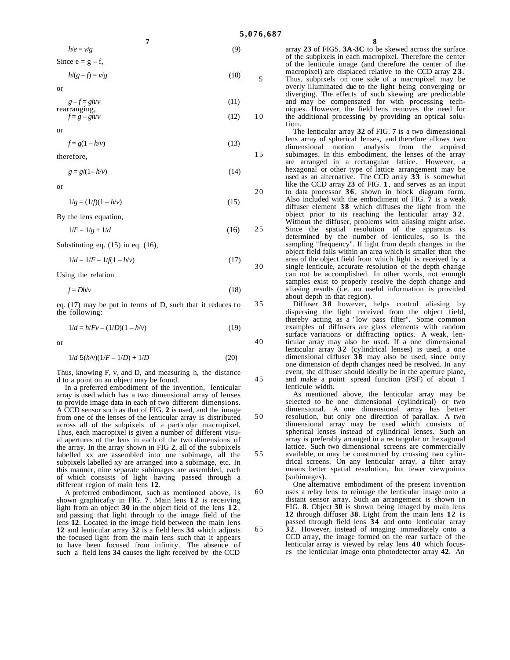10

15

20

30

35

40

50

55

60

65

 $h/e = v/g$  (9) Since  $e = g - f$ ,

**7**

 $h/(g - f) = v/g$  (10)

$$
\quad \text{or} \quad
$$

 $g - f = gh/v$  (11) rearranging,

$$
f = g - gh/v \tag{12}
$$

or

 $f = g(1 - h/v)$  (13)

therefore,

 $g = g/(1 - h/v)$  (14)

or

 $1/g = (1/f)(1 - h/v)$  (15)

By the lens equation,

$$
1/F = 1/g + 1/d
$$
 (16) 25

Substituting eq. (15) in eq. (16),

$$
1/d = 1/F - 1/f(1 - h/v)
$$
\n(17)

Using the relation

$$
f = Dh/v \tag{18}
$$

eq. (17) may be put in terms of D, such that it reduces to the following:

$$
1/d = h/Fv - (1/D)(1 - h/v)
$$
 (19)

or

$$
1/d \ 5(h/v)(1/F - 1/D) + 1/D \tag{20}
$$

Thus, knowing F, v, and D, and measuring h, the distance d to a point on an object may be found.

In a preferred embodiment of the invention, lenticular array is used which has a two dimensional array of lenses to provide image data in each of two different dimensions. A CCD sensor such as that of FIG. **2** is used, and the image from one of the lenses of the lenticular array is distributed across all of the subpixels of a particular macropixel. Thus, each macropixel is given a number of different visual apertures of the lens in each of the two dimensions of the array. In the array shown in FIG **2**, all of the subpixels labelled xx are assembled into one subimage, all the subpixels labelled xy are arranged into a subimage, etc. In this manner, nine separate subimages are assembled, each of which consists of light having passed through a different region of main lens **12**.

A preferred embodiment, such as mentioned above, is shown graphicafiy in FlG. **7**. Main lens **12** is receiving light from an object 30 in the object field of the lens 12, and passing that light through to the image field of the lens **12**. Located in the image field between the main lens **12** and lenticular array **32** is a field lens **34** which adjusts the focused light from the main lens such that it appears to have been focused from infinity. The absence of such a field lens **34** causes the light received by the CCD **8**

array **23** of FIGS. **3A**-**3C** to be skewed across the surface of the subpixels in each macropixel. Therefore the center of the lenticule image (and therefore the center of the macropixel) are displaced relative to the CCD array **2 3** . Thus, subpixels on one side of a macropixel may be overly illuminated due to the light being converging or diverging. The effects of such skewing are predictable and may be compensated for with processing techniques. However, the field lens removes the need for the additional processing by providing an optical solution.

The lenticular array **32** of FIG. **7** is a two dimensional lens array of spherical lenses, and therefore allows two dimensional motion analysis from the acquired subimages. In this embodiment, the lenses of the array are arranged in a rectangular lattice. However, a hexagonal or other type of lattice arrangement may be used as an alternative. The CCD array **33** is somewhat like the CCD array **23** of FIG. **1**, and serves as an input to data processor **3 6** , shown in block diagram form. Also included with the embodiment of FIG. **7** is a weak diffuser element **38** which diffuses the light from the object prior to its reaching the lenticular array **3 2** . Without the diffuser, problems with aliasing might arise. Since the spatial resolution of the apparatus is determined by the number of lenticules, so is the sampling "frequency". If light from depth changes in the object field falls within an area which is smaller than the area of the object field from which light is received by a single lenticule, accurate resolution of the depth change can not be accomplished. In other words, not enough samples exist to properly resolve the depth change and aliasing results (i.e. no useful information is provided about depth in that region).

Diffuser **38** however, helps control aliasing by dispersing the light received from the object field, thereby acting as a "low pass filter". Some common examples of diffusers are glass elements with random surface variations or diffracting optics. A weak, lenticular array may also be used. If a one dimensional lenticular array **32** (cylindrical lenses) is used, a one dimensional diffuser **38** may also be used, since only one dimension of depth changes need be resolved. In any event, the diffuser should ideally be in the aperture plane, and make a point spread function (PSF) of about 1 lenticule width.

As mentioned above, the lenticular array may be selected to be one dimensional (cylindrical) or two dimensional. A one dimensional array has better resolution, but only one direction of parallax. A two dimensional array may be used which consists of spherical lenses instead of cylindrical lenses. Such an array is preferably arranged in a rectangular or hexagonal lattice. Such two dimensional screens are commercially available, or may be constructed by crossing two cylindrical screens. On any lenticular array, a filter array means better spatial resolution, but fewer viewpoints (subimages).

One alternative embodiment of the present invention uses a relay lens to reimage the lenticular image onto a distant sensor array. Such an arrangement is shown in FIG. **8**. Object **30** is shown being imaged by main lens **12** through diffuser **38**. Light from the main lens **12** is passed through field lens **34** and onto lenticular array

**3 2** . However, instead of imaging immediately onto a CCD array, the image formed on the rear surface of the lenticular array is viewed by relay lens **40** which focuses the lenticular image onto photodetector array **42**. An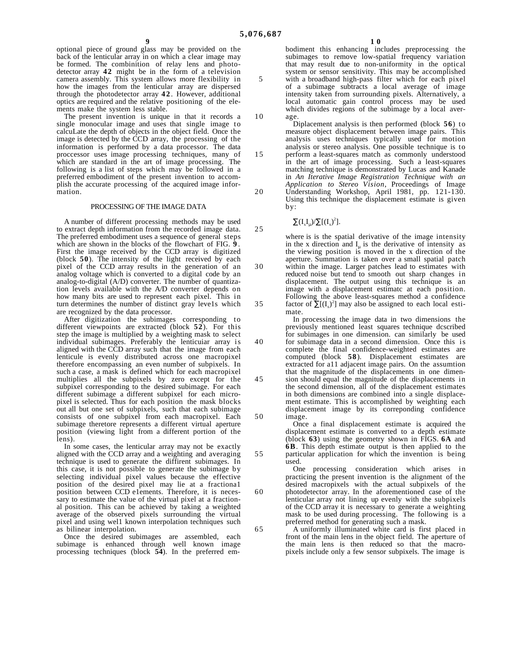10

15

20

optional piece of ground glass may be provided on the back of the lenticular array in on which a clear image may be formed. The combinition of relay lens and photodetector array **42** might be in the form of a television camera assembly. This system allows more flexibility in how the images from the lenticular array are dispersed through the photodetector array **4 2** . However, additional optics are required and the relative positioning of the elements make the system less stable.

The present invention is unique in that it records a single monocular image and uses that single image to calcuLate the depth of objects in the object field. Once the image is detected by the CCD array, the processing of the information is performed by a data processor. The data proccessor uses image processing techniques, many of which are standard in the art of image processing. The following is a list of steps which may be followed in a preferred embodiment of the present invention to accomplish the accurate processing of the acquired image information.

#### PROCESSING OF THE IMAGE DATA

A number of different processing methods may be used to extract depth information from the recorded image data. The preferred embodiment uses a sequence of general steps which are shown in the blocks of the flowchart of FIG. **9** . First the image received by the CCD array is digitized (block **50**). The intensity of the light received by each pixel of the CCD array results in the generation of an analog voltage which is converted to a digital code by an analog-to-digital (A/D) converter. The number of quantization levels available with the A/D converter depends on how many bits are used to represent each pixel. This in turn determines the number of distinct gray leve1s which are recognized by the data processor.

After digitization the subimages corresponding to different viewpoints are extracted (block **52**). For this step the image is multiplied by a weighting mask to select individual subimages. Preferably the lenticuiar array is aligned with the CCD array such that the image from each lenticule is evenly distributed across one macropixel therefore encompassing an even number of subpixels. In such a case, a mask is defined which for each macropixel multiplies all the subpixels by zero except for the subpixel corresponding to the desired subimage. For each different subimage a different subpixel for each micropixel is selected. Thus for each position the mask blocks out all but one set of subpixels, such that each subimage consists of one subpixel from each macropixel. Each subimage theretore represents a different virtual aperture position (viewing light from a different portion of the lens).

In some cases, the lenticular array may not be exactly aligned with the CCD array and a weighting and averaging technique is used to generate the diffirent subimages. In this case, it is not possible to generate the subimage by selecting individual pixel values because the effective position of the desired pixel may lie at a fractiona1 position between CCD e1ements. Therefore, it is necessary to estimate the value of the virtual pixel at a fractional position. This can be achieved by taking a weighted average of the observed pixels surrounding the virtual pixel and using wel1 known interpolation techniques such as bilinear interpolation.

Once the desired subimages are assembled, each subimage is enhanced through well known image processing techniques (block **54**). In the preferred em**1 0**

bodiment this enhancing includes preprocessing the subimages to remove low-spatial frequency variation that may result due to non-uniformity in the optical system or sensor sensitivity. This may be accomplished with a broadband high-pass filter which for each pixel of a subimage subtracts a local average of image intensity taken from surrounding pixels. Alternatively, a local automatic gain control process may be used which divides regions of the subimage by a local average.

Diplacement analysis is then performed (block **56**) to measure object displacement between image pairs. This analysis uses techniques typically used for motion analysis or stereo analysis. One possible technique is to perform a least-squares match as commonly understood in the art of image processing. Such a least-squares matching technique is demonstrated by Lucas and Kanade in *An Iterative Image Registration Technique with an Application to Stereo Vision*, Proceedings of Image Understanding Workshop, April 1981, pp. 121-130. Using this technique the displacement estimate is given by:

# $\sum(I_xI_\mu)/\sum[(I_x)^2]$ .

where is is the spatial derivative of the image intensity in the x direction and  $I<sub>u</sub>$  is the derivative of intensity as the viewing position is moved in the x direction of the aperture. Summation is taken over a small spatial patch within the image. Larger patches lead to estimates with reduced noise but tend to smooth out sharp changes in displacement. The output using this technique is an image with a displacement estimatc at each position. Following the above least-squares method a confidence factor of  $\sum [(I_x)^2]$  may also be assigned to each local estimate.

In processing the image data in two dimensions the previously mentioned least squares technique dcscribed for subimages in one dimension. can similarly be used for subimage data in a second dimension. Once this is complete the final confidence-weighted estimates are computed (block **58**). Displacement estimates are extracted for a11 adjacent image pairs. On the assumtion that the magnitude of the displacements in one dimension should equal the magnitude of the displacements in the second dimension, all of the displacement estimates in both dimensions are combined into a single displacement estimate. This is accomplished by weighting each displacement image by its correponding confidence image.

Once a final displacement estimate is acquired the displacement estimate is converted to a depth estimate (block **63**) using the geometry shown in FIGS. **6A** and **6B**. This depth estimate output is then applied to the particular application for which the invention is being used.

One processing consideration which arises in practicing the present invention is the alignment of the desired macropixels with the actual subpixels of the photodetector array. In the aforementioned case of the lenticular array not lining up evenly with the subpixels of the CCD array it is necessary to generate a weighting mask to be used during processing. The following is a preferred method for generating such a mask.

A uniformly illuminated white card is first placed in front of the main lens in the object field. The aperture of the main lens is then reduced so that the macropixels include only a few sensor subpixels. The image is

25

30

35

40

45

50

55

60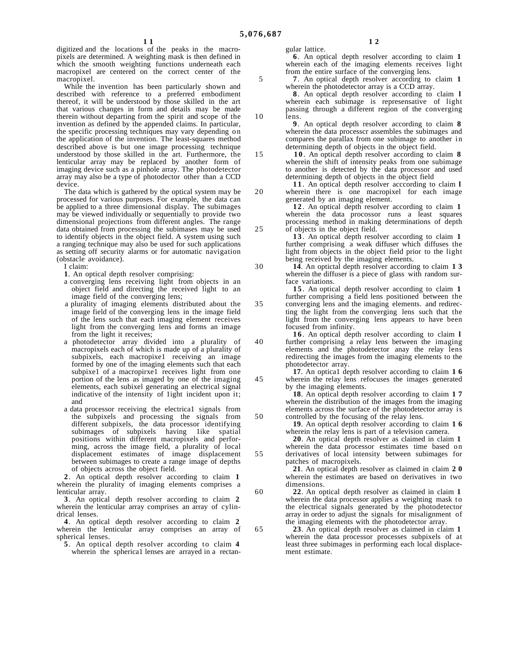10

15

20

25

30

35

40

45

50

55

60

65

digitized and the locations of the peaks in the macropixels are determined. A weighting mask is then defined in which the smooth weighting functions underneath each macropixel are centered on the correct center of the macropixel.

While the invention has been particularly shown and described with reference to a preferred embodiment thereof, it will be understood by those skilled in the art that various changes in form and details may be made therein without departing from the spirit and scope of the invention as defined by the appended claims. In particular, the specific processing techniques may vary depending on the application of the invention. The least-squares method described above is but one image processing technique understood by those skilled in the art. Furthermore, the lenticular array may be replaced by another form of imaging device such as a pinhole array. The photodetector array may also be a type of photodector other than a CCD device.

The data which is gathered by the optical system may be processed for various purposes. For example, the data can be applied to a three dimensional display. The subimages may be viewed individually or sequentially to provide two dimensional projections from different angles. The range data obtained from processing the subimases may be used to identify objects in the object field. A system using such a ranging technique may also be used for such applications as setting off security alarms or for automatic navigation (obstacle avoidance).

I claim:

**1**. An optical depth resolver comprising:

- a converging lens receiving light from objects in an object field and directing the received light to an image field of the converging lens;
- a plurality of imaging elements distributed about the image field of the converging lens in the image field of the lens such that each imaging element receives light from the converging lens and forms an image from the light it receives;
- a photodetector array divided into a plurality of macropixels each of which is made up of a plurality of subpixels, each macropixe1 receiving an image formed by one of the imaging elements such that each subpixe1 of a macropirxe1 receives light from one portion of the lens as imaged by one of the imaging elements, each subixel generating an electrical signal indicative of the intensity of 1ight incident upon it; and
- a data processor receiving the electrica1 signals from the subpixels and processing the signals from different subpixels, the data processor identifying subimages of subpixels having 1ike spatial positions within different macropixels and performing, across the image field, a plurality of local displacement estimates of image displacement between subimages to create a range image of depths of objects across the object field.

**2**. An optical depth resolver according to claim **1** wherein the plurality of imaging elements comprises a lenticular array.

**3**. An optical depth resolver according to claim **2** wherein the lenticular array comprises an array of cylindrical lenses.

**4**. An optical depth resolver according to claim **2** wherein the lenticular array comprises an array of spherical lenses.

**5**. An optical depth resolver according to claim **4** wherein the spherical lenses are arrayed in a rectangular lattice.

**6**. An optical depth resolver according to claim **1** wherein each of the imaging elements receives light from the entire surface of the converging lens.

**7**. An optical depth resolver accordirg to claim **1** wherein the photodetector array is a CCD array.

**8**. An optical depth resolver according to claim **l** wherein each subimage is represensative of light passing through a different region of the converging lens.

**9**. An optical depth resolver according to claim **8** wherein the data processcr assembles the subimages and compares the parallax from one subimage to another in determining depth of objects in the object field.

**1 0** . An optical depth resolver according to claim **8** wherein the shift of intensity peaks from one subimage to another is detected by the data processor and used determining depth of objects in the object field

**1 1** . An optical depth resolver acccording to claim **l** wherein there is one macropixel for each image generated by an imaging element.

**1 2** . An optical depth resolver according to claim **1** wherein the data procossor runs a least squares processing method in making determinations of depth of objects in the object field.

**1 3** . An optical depth resolver according to claim **1** further comprising a weak diffuser which diffuses the light from objects in the object field prior to the light being received by the imaging elements.

**14**. An optictal depth resolver according to claim **1 3** wherein the diffuser is a piece of glass with random surface variations.

**1 5** . An optical depth resolver according to claim **1** further comprising a field lens positioned between the

converging lens and the imaging elements. and redirecting the light from the converging lens such that the light from the converging lens appears to have been focused from infinity.

**1 6** . An optical depth resolver according to claim **l** further comprising a relay lens between the imaging elements and the photodetector anay the relay lens redirecting the images from the imaging elements to the photodetector array.

**17**. An optica1 depth resolver according to claim **1 6** wherein the relay lens refocuses the images generated by the imaging elements.

**18**. An optical depth resolver according to claim **1 7** wherein the distribution of the images from the imaging elements across the surface of the photodetector array is controlled by the focusing of the relay lens.

**19**. An optical depth resolver according to claim **1 6** wherein the relay lens is part of a television camera.

**20**. An optical depth resolver as claimed in claim **1** wherein the data processor estimates time based on

derivatives of local intensity between subimages for patches of macropixels.

**21**. An optical depth resolver as claimed in claim **2 0** wherein the estimates are based on derivatives in two dimensions.

**22**. An optical depth resolver as claimed in claim **1** wherein the data processor applies a weighting mask to the electrical signals generated by the photodetector array in order to adjust the signals for misalignment of the imaging elements with the photodetector array.

**23**. An optical depth resolver as claimed in claim **1** wherein the data processor processes subpixels of at least three subimages in performing each local displacement estimate.